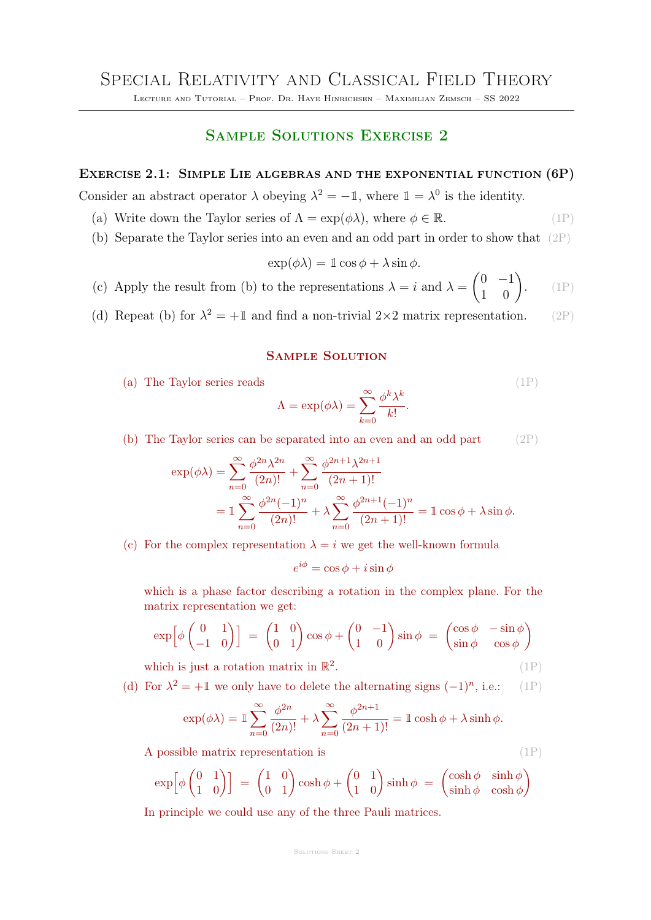Lecture and Tutorial – Prof. Dr. Haye Hinrichsen – Maximilian Zemsch – SS 2022

# Sample Solutions Exercise 2

## Exercise 2.1: Simple Lie algebras and the exponential function (6P)

Consider an abstract operator  $\lambda$  obeying  $\lambda^2 = -\mathbb{I}$ , where  $\mathbb{I} = \lambda^0$  is the identity.

- (a) Write down the Taylor series of  $\Lambda = \exp(\phi \lambda)$ , where  $\phi \in \mathbb{R}$ . (1P)
- (b) Separate the Taylor series into an even and an odd part in order to show that (2P)

$$
\exp(\phi \lambda) = 1 \cos \phi + \lambda \sin \phi.
$$

- (c) Apply the result from (b) to the representations  $\lambda = i$  and  $\lambda =$  $\begin{pmatrix} 0 & -1 \\ 1 & 0 \end{pmatrix}$  $(1P)$
- (d) Repeat (b) for  $\lambda^2 = +1$  and find a non-trivial  $2 \times 2$  matrix representation. (2P)

#### Sample Solution

(a) The Taylor series reads (1P)

$$
\Lambda = \exp(\phi \lambda) = \sum_{k=0}^{\infty} \frac{\phi^k \lambda^k}{k!}.
$$

(b) The Taylor series can be separated into an even and an odd part (2P)

$$
\exp(\phi \lambda) = \sum_{n=0}^{\infty} \frac{\phi^{2n} \lambda^{2n}}{(2n)!} + \sum_{n=0}^{\infty} \frac{\phi^{2n+1} \lambda^{2n+1}}{(2n+1)!}
$$
  
= 
$$
\mathbb{1} \sum_{n=0}^{\infty} \frac{\phi^{2n} (-1)^n}{(2n)!} + \lambda \sum_{n=0}^{\infty} \frac{\phi^{2n+1} (-1)^n}{(2n+1)!} = \mathbb{1} \cos \phi + \lambda \sin \phi.
$$

(c) For the complex representation  $\lambda = i$  we get the well-known formula

$$
e^{i\phi} = \cos\phi + i\sin\phi
$$

which is a phase factor describing a rotation in the complex plane. For the matrix representation we get:

$$
\exp\left[\phi\begin{pmatrix} 0 & 1 \\ -1 & 0 \end{pmatrix}\right] = \begin{pmatrix} 1 & 0 \\ 0 & 1 \end{pmatrix} \cos\phi + \begin{pmatrix} 0 & -1 \\ 1 & 0 \end{pmatrix} \sin\phi = \begin{pmatrix} \cos\phi & -\sin\phi \\ \sin\phi & \cos\phi \end{pmatrix}
$$

which is just a rotation matrix in  $\mathbb{R}^2$ .  $(1P)$ 

(d) For  $\lambda^2 = +1$  we only have to delete the alternating signs  $(-1)^n$ , i.e.: (1P)

$$
\exp(\phi \lambda) = \mathbb{1} \sum_{n=0}^{\infty} \frac{\phi^{2n}}{(2n)!} + \lambda \sum_{n=0}^{\infty} \frac{\phi^{2n+1}}{(2n+1)!} = \mathbb{1} \cosh \phi + \lambda \sinh \phi.
$$

A possible matrix representation is  $(1P)$ 

$$
\exp\left[\phi\begin{pmatrix}0&1\\1&0\end{pmatrix}\right] = \begin{pmatrix}1&0\\0&1\end{pmatrix}\cosh\phi + \begin{pmatrix}0&1\\1&0\end{pmatrix}\sinh\phi = \begin{pmatrix}\cosh\phi & \sinh\phi\\ \sinh\phi & \cosh\phi\end{pmatrix}
$$

In principle we could use any of the three Pauli matrices.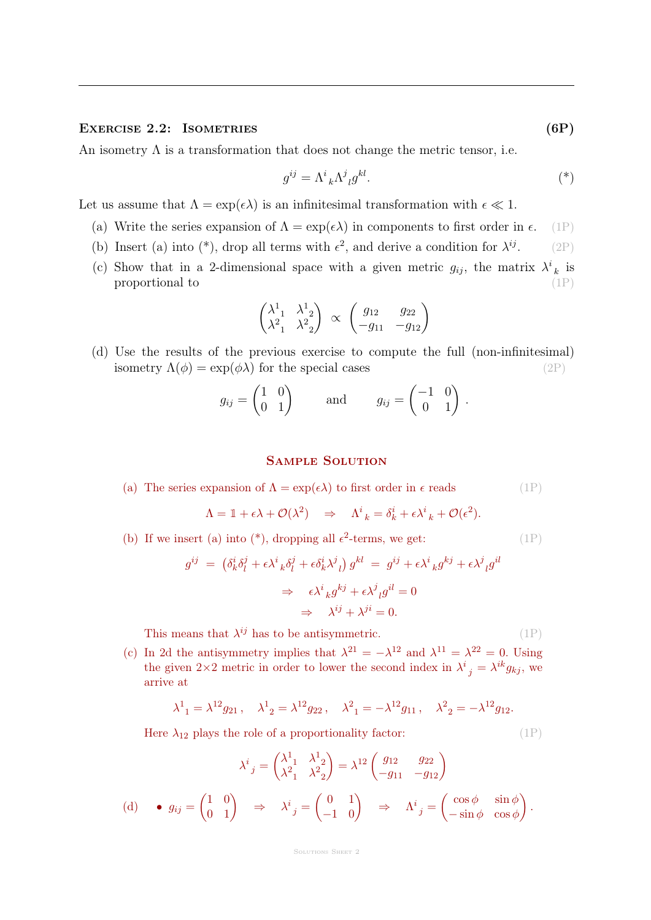### EXERCISE 2.2: ISOMETRIES (6P)

An isometry  $\Lambda$  is a transformation that does not change the metric tensor, i.e.

$$
g^{ij} = \Lambda^i{}_k \Lambda^j{}_l g^{kl}.\tag{*}
$$

Let us assume that  $\Lambda = \exp(\epsilon \lambda)$  is an infinitesimal transformation with  $\epsilon \ll 1$ .

- (a) Write the series expansion of  $\Lambda = \exp(\epsilon \lambda)$  in components to first order in  $\epsilon$ . (1P)
- (b) Insert (a) into (\*), drop all terms with  $\epsilon^2$ , and derive a condition for  $\lambda^{ij}$ . (2P)
- (c) Show that in a 2-dimensional space with a given metric  $g_{ij}$ , the matrix  $\lambda^i{}_k$  is proportional to  $(1P)$

$$
\begin{pmatrix}\n\lambda_{11}^1 & \lambda_{12}^1 \\
\lambda_{11}^2 & \lambda_{12}^2\n\end{pmatrix}\n\propto\n\begin{pmatrix}\ng_{12} & g_{22} \\
-g_{11} & -g_{12}\n\end{pmatrix}
$$

(d) Use the results of the previous exercise to compute the full (non-infinitesimal) isometry  $\Lambda(\phi) = \exp(\phi \lambda)$  for the special cases (2P)

$$
g_{ij} = \begin{pmatrix} 1 & 0 \\ 0 & 1 \end{pmatrix} \quad \text{and} \quad g_{ij} = \begin{pmatrix} -1 & 0 \\ 0 & 1 \end{pmatrix}.
$$

## Sample Solution

(a) The series expansion of 
$$
\Lambda = \exp(\epsilon \lambda)
$$
 to first order in  $\epsilon$  reads  $(1P)$ 

$$
\Lambda = \mathbb{1} + \epsilon \lambda + \mathcal{O}(\lambda^2) \quad \Rightarrow \quad \Lambda^i_{\ k} = \delta^i_k + \epsilon \lambda^i_{\ k} + \mathcal{O}(\epsilon^2).
$$

(b) If we insert (a) into (\*), dropping all  $\epsilon^2$ -terms, we get: (1P)

$$
g^{ij} = (\delta^i_k \delta^j_l + \epsilon \lambda^i{}_k \delta^j_l + \epsilon \delta^i_k \lambda^j{}_l) g^{kl} = g^{ij} + \epsilon \lambda^i{}_k g^{kj} + \epsilon \lambda^j{}_l g^{il}
$$
  

$$
\Rightarrow \epsilon \lambda^i{}_k g^{kj} + \epsilon \lambda^j{}_l g^{il} = 0
$$
  

$$
\Rightarrow \lambda^{ij} + \lambda^{ji} = 0.
$$

This means that  $\lambda^{ij}$  has to be antisymmetric. (1P)

(c) In 2d the antisymmetry implies that  $\lambda^{21} = -\lambda^{12}$  and  $\lambda^{11} = \lambda^{22} = 0$ . Using the given  $2\times 2$  metric in order to lower the second index in  $\lambda^i_{\;\;j} = \lambda^{ik} g_{kj}$ , we arrive at

$$
\lambda^1_{1} = \lambda^{12} g_{21}, \quad \lambda^1_{2} = \lambda^{12} g_{22}, \quad \lambda^2_{1} = -\lambda^{12} g_{11}, \quad \lambda^2_{2} = -\lambda^{12} g_{12}.
$$

Here  $\lambda_{12}$  plays the role of a proportionality factor: (1P)

 $(d)$ 

$$
\lambda^{i}{}_{j} = \begin{pmatrix} \lambda^{1}{}_{1} & \lambda^{1}{}_{2} \\ \lambda^{2}{}_{1} & \lambda^{2}{}_{2} \end{pmatrix} = \lambda^{12} \begin{pmatrix} g_{12} & g_{22} \\ -g_{11} & -g_{12} \end{pmatrix}
$$
  
•  $g_{ij} = \begin{pmatrix} 1 & 0 \\ 0 & 1 \end{pmatrix} \Rightarrow \lambda^{i}{}_{j} = \begin{pmatrix} 0 & 1 \\ -1 & 0 \end{pmatrix} \Rightarrow \Lambda^{i}{}_{j} = \begin{pmatrix} \cos \phi & \sin \phi \\ -\sin \phi & \cos \phi \end{pmatrix}.$ 

#### SOLUTIONS SHEET 2

$$
_{\rm sing}
$$